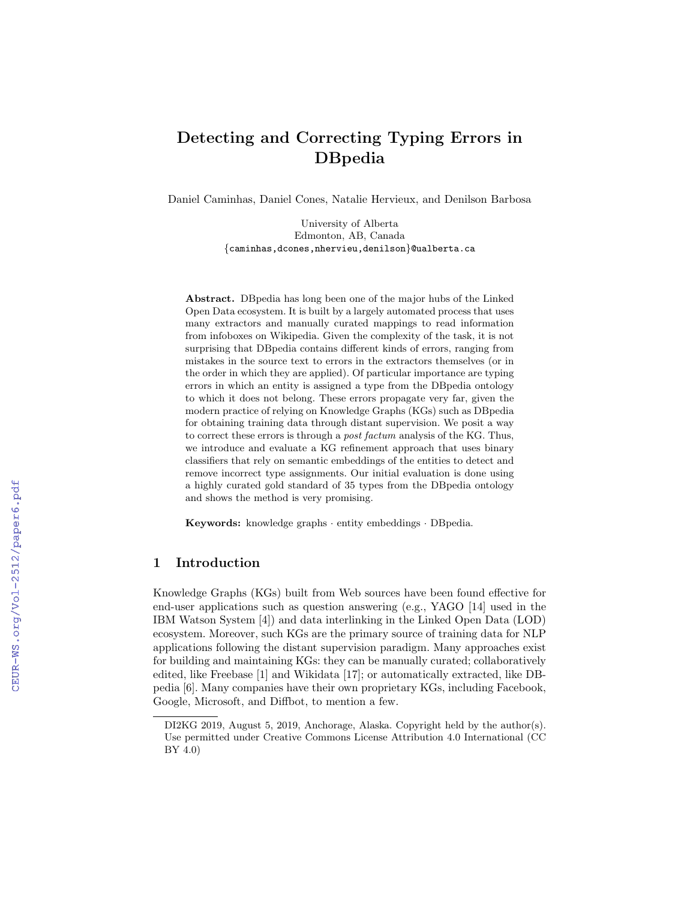# Detecting and Correcting Typing Errors in DBpedia

Daniel Caminhas, Daniel Cones, Natalie Hervieux, and Denilson Barbosa

University of Alberta Edmonton, AB, Canada {caminhas,dcones,nhervieu,denilson}@ualberta.ca

Abstract. DBpedia has long been one of the major hubs of the Linked Open Data ecosystem. It is built by a largely automated process that uses many extractors and manually curated mappings to read information from infoboxes on Wikipedia. Given the complexity of the task, it is not surprising that DBpedia contains different kinds of errors, ranging from mistakes in the source text to errors in the extractors themselves (or in the order in which they are applied). Of particular importance are typing errors in which an entity is assigned a type from the DBpedia ontology to which it does not belong. These errors propagate very far, given the modern practice of relying on Knowledge Graphs (KGs) such as DBpedia for obtaining training data through distant supervision. We posit a way to correct these errors is through a post factum analysis of the KG. Thus, we introduce and evaluate a KG refinement approach that uses binary classifiers that rely on semantic embeddings of the entities to detect and remove incorrect type assignments. Our initial evaluation is done using a highly curated gold standard of 35 types from the DBpedia ontology and shows the method is very promising.

Keywords: knowledge graphs · entity embeddings · DBpedia.

# 1 Introduction

Knowledge Graphs (KGs) built from Web sources have been found effective for end-user applications such as question answering (e.g., YAGO [14] used in the IBM Watson System [4]) and data interlinking in the Linked Open Data (LOD) ecosystem. Moreover, such KGs are the primary source of training data for NLP applications following the distant supervision paradigm. Many approaches exist for building and maintaining KGs: they can be manually curated; collaboratively edited, like Freebase [1] and Wikidata [17]; or automatically extracted, like DBpedia [6]. Many companies have their own proprietary KGs, including Facebook, Google, Microsoft, and Diffbot, to mention a few.

DI2KG 2019, August 5, 2019, Anchorage, Alaska. Copyright held by the author(s). Use permitted under Creative Commons License Attribution 4.0 International (CC BY 4.0)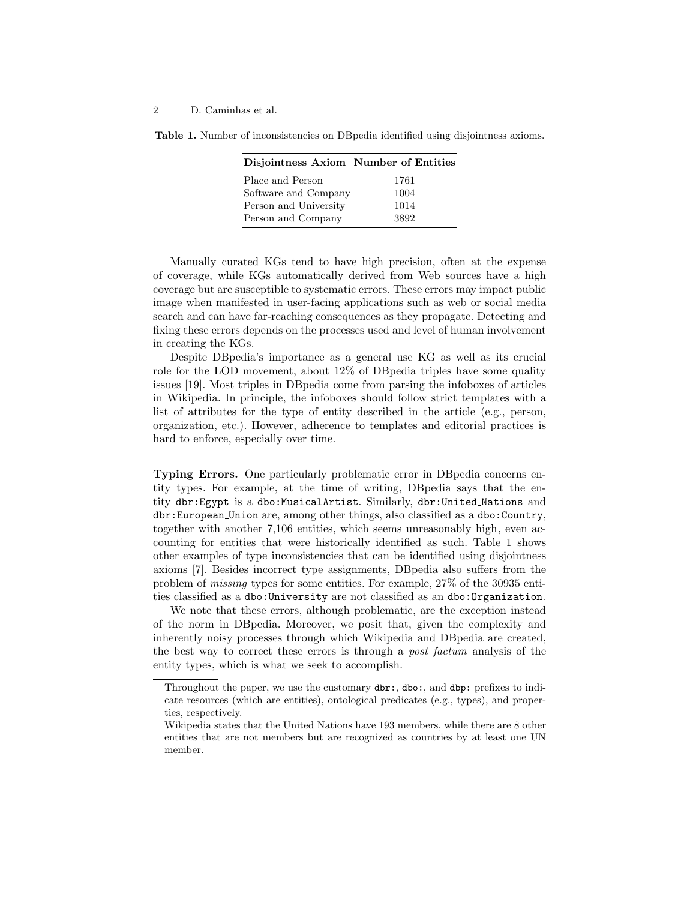Table 1. Number of inconsistencies on DBpedia identified using disjointness axioms.

| Disjointness Axiom Number of Entities |      |
|---------------------------------------|------|
| Place and Person                      | 1761 |
| Software and Company                  | 1004 |
| Person and University                 | 1014 |
| Person and Company                    | 3892 |

Manually curated KGs tend to have high precision, often at the expense of coverage, while KGs automatically derived from Web sources have a high coverage but are susceptible to systematic errors. These errors may impact public image when manifested in user-facing applications such as web or social media search and can have far-reaching consequences as they propagate. Detecting and fixing these errors depends on the processes used and level of human involvement in creating the KGs.

Despite DBpedia's importance as a general use KG as well as its crucial role for the LOD movement, about 12% of DBpedia triples have some quality issues [19]. Most triples in DBpedia come from parsing the infoboxes of articles in Wikipedia. In principle, the infoboxes should follow strict templates with a list of attributes for the type of entity described in the article (e.g., person, organization, etc.). However, adherence to templates and editorial practices is hard to enforce, especially over time.

Typing Errors. One particularly problematic error in DBpedia concerns entity types. For example, at the time of writing, DBpedia says that the entity dbr:Egypt is a dbo:MusicalArtist. Similarly, dbr:United Nations and dbr:European Union are, among other things, also classified as a dbo:Country, together with another 7,106 entities, which seems unreasonably high, even accounting for entities that were historically identified as such. Table 1 shows other examples of type inconsistencies that can be identified using disjointness axioms [7]. Besides incorrect type assignments, DBpedia also suffers from the problem of missing types for some entities. For example, 27% of the 30935 entities classified as a dbo:University are not classified as an dbo:Organization.

We note that these errors, although problematic, are the exception instead of the norm in DBpedia. Moreover, we posit that, given the complexity and inherently noisy processes through which Wikipedia and DBpedia are created, the best way to correct these errors is through a post factum analysis of the entity types, which is what we seek to accomplish.

Throughout the paper, we use the customary dbr:, dbo:, and dbp: prefixes to indicate resources (which are entities), ontological predicates (e.g., types), and properties, respectively.

Wikipedia states that the United Nations have 193 members, while there are 8 other entities that are not members but are recognized as countries by at least one UN member.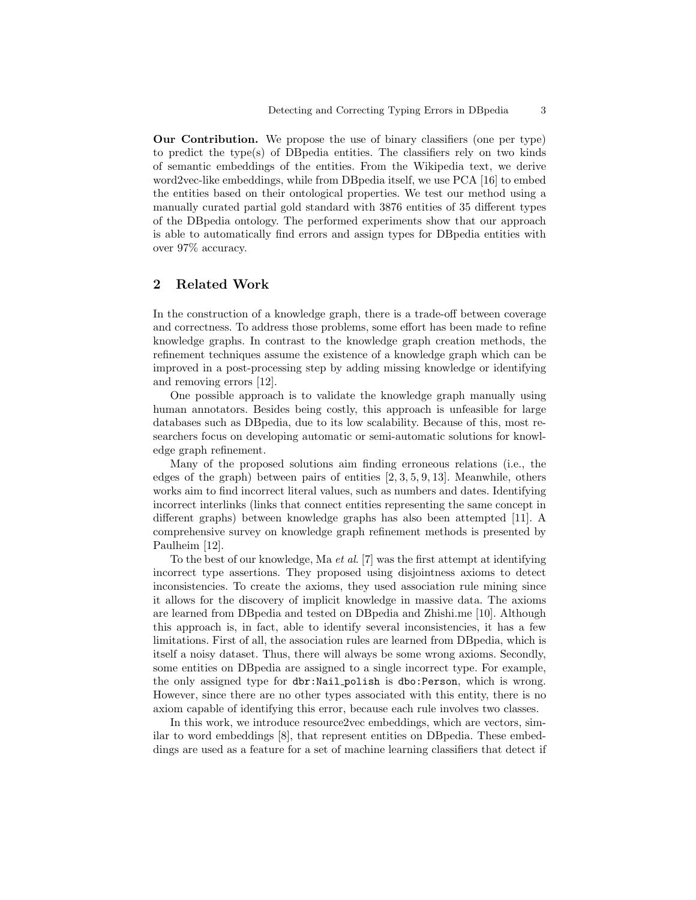Our Contribution. We propose the use of binary classifiers (one per type) to predict the type(s) of DBpedia entities. The classifiers rely on two kinds of semantic embeddings of the entities. From the Wikipedia text, we derive word2vec-like embeddings, while from DBpedia itself, we use PCA [16] to embed the entities based on their ontological properties. We test our method using a manually curated partial gold standard with 3876 entities of 35 different types of the DBpedia ontology. The performed experiments show that our approach is able to automatically find errors and assign types for DBpedia entities with over 97% accuracy.

# 2 Related Work

In the construction of a knowledge graph, there is a trade-off between coverage and correctness. To address those problems, some effort has been made to refine knowledge graphs. In contrast to the knowledge graph creation methods, the refinement techniques assume the existence of a knowledge graph which can be improved in a post-processing step by adding missing knowledge or identifying and removing errors [12].

One possible approach is to validate the knowledge graph manually using human annotators. Besides being costly, this approach is unfeasible for large databases such as DBpedia, due to its low scalability. Because of this, most researchers focus on developing automatic or semi-automatic solutions for knowledge graph refinement.

Many of the proposed solutions aim finding erroneous relations (i.e., the edges of the graph) between pairs of entities  $[2, 3, 5, 9, 13]$ . Meanwhile, others works aim to find incorrect literal values, such as numbers and dates. Identifying incorrect interlinks (links that connect entities representing the same concept in different graphs) between knowledge graphs has also been attempted [11]. A comprehensive survey on knowledge graph refinement methods is presented by Paulheim [12].

To the best of our knowledge, Ma et al. [7] was the first attempt at identifying incorrect type assertions. They proposed using disjointness axioms to detect inconsistencies. To create the axioms, they used association rule mining since it allows for the discovery of implicit knowledge in massive data. The axioms are learned from DBpedia and tested on DBpedia and Zhishi.me [10]. Although this approach is, in fact, able to identify several inconsistencies, it has a few limitations. First of all, the association rules are learned from DBpedia, which is itself a noisy dataset. Thus, there will always be some wrong axioms. Secondly, some entities on DBpedia are assigned to a single incorrect type. For example, the only assigned type for dbr:Nail polish is dbo:Person, which is wrong. However, since there are no other types associated with this entity, there is no axiom capable of identifying this error, because each rule involves two classes.

In this work, we introduce resource2vec embeddings, which are vectors, similar to word embeddings [8], that represent entities on DBpedia. These embeddings are used as a feature for a set of machine learning classifiers that detect if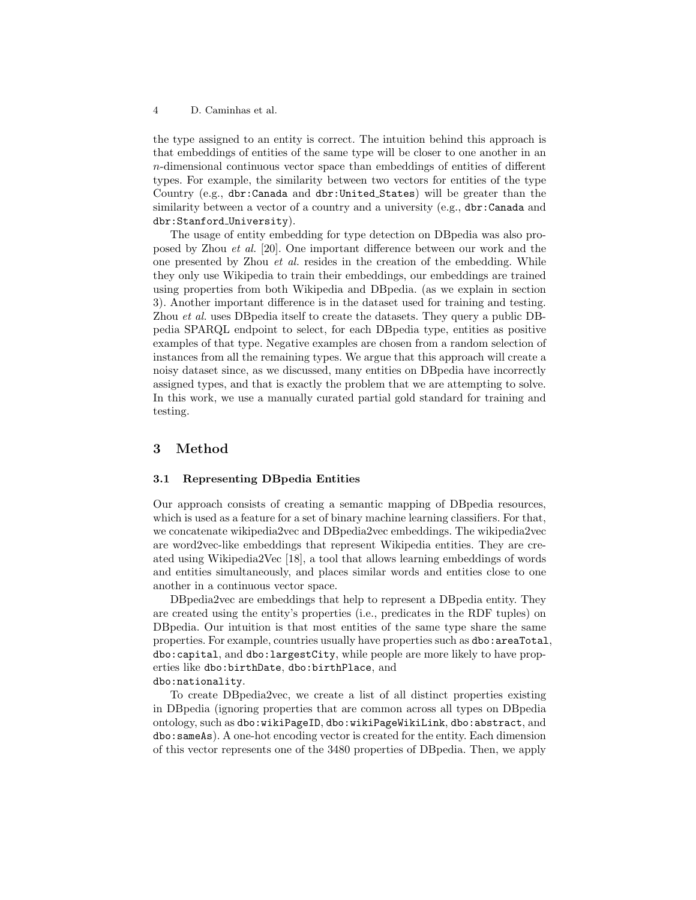the type assigned to an entity is correct. The intuition behind this approach is that embeddings of entities of the same type will be closer to one another in an n-dimensional continuous vector space than embeddings of entities of different types. For example, the similarity between two vectors for entities of the type Country (e.g., dbr:Canada and dbr:United States) will be greater than the similarity between a vector of a country and a university (e.g., dbr:Canada and dbr:Stanford University).

The usage of entity embedding for type detection on DBpedia was also proposed by Zhou et al. [20]. One important difference between our work and the one presented by Zhou et al. resides in the creation of the embedding. While they only use Wikipedia to train their embeddings, our embeddings are trained using properties from both Wikipedia and DBpedia. (as we explain in section 3). Another important difference is in the dataset used for training and testing. Zhou et al. uses DBpedia itself to create the datasets. They query a public DBpedia SPARQL endpoint to select, for each DBpedia type, entities as positive examples of that type. Negative examples are chosen from a random selection of instances from all the remaining types. We argue that this approach will create a noisy dataset since, as we discussed, many entities on DBpedia have incorrectly assigned types, and that is exactly the problem that we are attempting to solve. In this work, we use a manually curated partial gold standard for training and testing.

# 3 Method

## 3.1 Representing DBpedia Entities

Our approach consists of creating a semantic mapping of DBpedia resources, which is used as a feature for a set of binary machine learning classifiers. For that, we concatenate wikipedia2vec and DBpedia2vec embeddings. The wikipedia2vec are word2vec-like embeddings that represent Wikipedia entities. They are created using Wikipedia2Vec [18], a tool that allows learning embeddings of words and entities simultaneously, and places similar words and entities close to one another in a continuous vector space.

DBpedia2vec are embeddings that help to represent a DBpedia entity. They are created using the entity's properties (i.e., predicates in the RDF tuples) on DBpedia. Our intuition is that most entities of the same type share the same properties. For example, countries usually have properties such as dbo:areaTotal, dbo:capital, and dbo:largestCity, while people are more likely to have properties like dbo:birthDate, dbo:birthPlace, and dbo:nationality.

To create DBpedia2vec, we create a list of all distinct properties existing in DBpedia (ignoring properties that are common across all types on DBpedia ontology, such as dbo:wikiPageID, dbo:wikiPageWikiLink, dbo:abstract, and dbo:sameAs). A one-hot encoding vector is created for the entity. Each dimension of this vector represents one of the 3480 properties of DBpedia. Then, we apply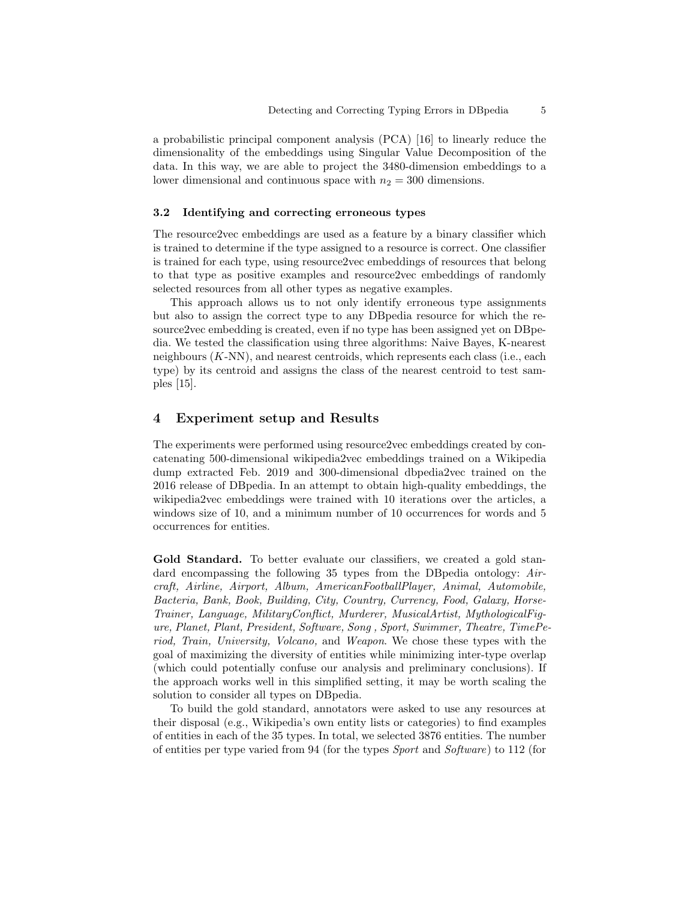a probabilistic principal component analysis (PCA) [16] to linearly reduce the dimensionality of the embeddings using Singular Value Decomposition of the data. In this way, we are able to project the 3480-dimension embeddings to a lower dimensional and continuous space with  $n_2 = 300$  dimensions.

## 3.2 Identifying and correcting erroneous types

The resource2vec embeddings are used as a feature by a binary classifier which is trained to determine if the type assigned to a resource is correct. One classifier is trained for each type, using resource2vec embeddings of resources that belong to that type as positive examples and resource2vec embeddings of randomly selected resources from all other types as negative examples.

This approach allows us to not only identify erroneous type assignments but also to assign the correct type to any DBpedia resource for which the resource2vec embedding is created, even if no type has been assigned yet on DBpedia. We tested the classification using three algorithms: Naive Bayes, K-nearest neighbours  $(K-NN)$ , and nearest centroids, which represents each class (i.e., each type) by its centroid and assigns the class of the nearest centroid to test samples [15].

# 4 Experiment setup and Results

The experiments were performed using resource2vec embeddings created by concatenating 500-dimensional wikipedia2vec embeddings trained on a Wikipedia dump extracted Feb. 2019 and 300-dimensional dbpedia2vec trained on the 2016 release of DBpedia. In an attempt to obtain high-quality embeddings, the wikipedia2vec embeddings were trained with 10 iterations over the articles, a windows size of 10, and a minimum number of 10 occurrences for words and 5 occurrences for entities.

Gold Standard. To better evaluate our classifiers, we created a gold standard encompassing the following 35 types from the DBpedia ontology: Aircraft, Airline, Airport, Album, AmericanFootballPlayer, Animal, Automobile, Bacteria, Bank, Book, Building, City, Country, Currency, Food, Galaxy, Horse-Trainer, Language, MilitaryConflict, Murderer, MusicalArtist, MythologicalFigure, Planet, Plant, President, Software, Song , Sport, Swimmer, Theatre, TimePeriod, Train, University, Volcano, and Weapon. We chose these types with the goal of maximizing the diversity of entities while minimizing inter-type overlap (which could potentially confuse our analysis and preliminary conclusions). If the approach works well in this simplified setting, it may be worth scaling the solution to consider all types on DBpedia.

To build the gold standard, annotators were asked to use any resources at their disposal (e.g., Wikipedia's own entity lists or categories) to find examples of entities in each of the 35 types. In total, we selected 3876 entities. The number of entities per type varied from 94 (for the types Sport and Software) to 112 (for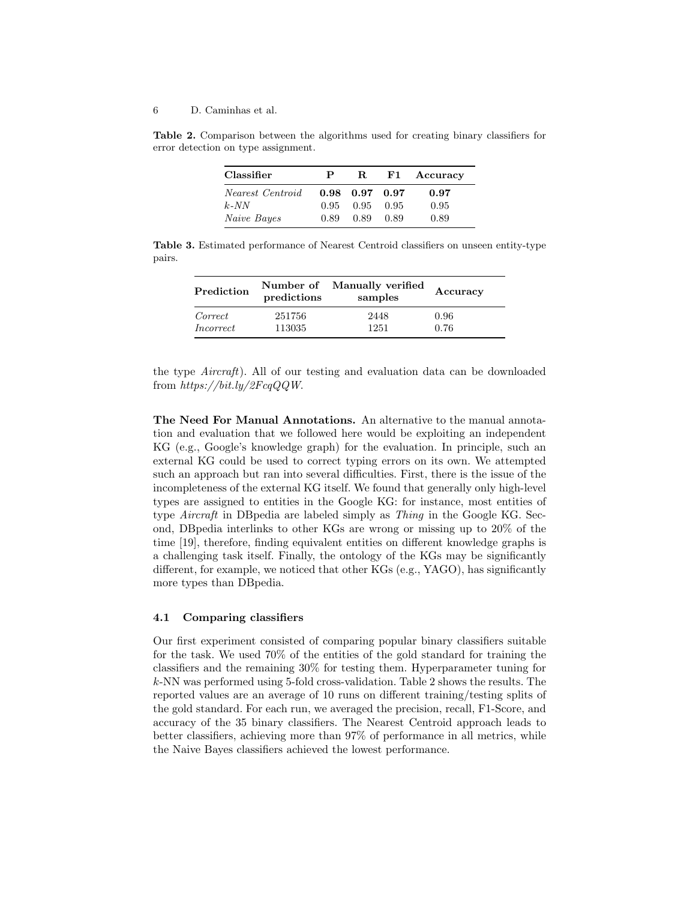Table 2. Comparison between the algorithms used for creating binary classifiers for error detection on type assignment.

| Classifier       | Р    | R.                   | ${\bf F1}$ | Accuracy |
|------------------|------|----------------------|------------|----------|
| Nearest Centroid |      | $0.98$ $0.97$ $0.97$ |            | 0.97     |
| $k$ -NN          | 0.95 | 0.95                 | 0.95       | 0.95     |
| Naive Bayes      | 0.89 | 0.89                 | 0.89       | 0.89     |

Table 3. Estimated performance of Nearest Centroid classifiers on unseen entity-type pairs.

| Prediction       | predictions | Number of Manually verified<br>samples | Accuracy |
|------------------|-------------|----------------------------------------|----------|
| Correct          | 251756      | 2448                                   | 0.96     |
| <i>Incorrect</i> | 113035      | 1251                                   | 0.76     |

the type Aircraft). All of our testing and evaluation data can be downloaded from https://bit.ly/2FcqQQW.

The Need For Manual Annotations. An alternative to the manual annotation and evaluation that we followed here would be exploiting an independent KG (e.g., Google's knowledge graph) for the evaluation. In principle, such an external KG could be used to correct typing errors on its own. We attempted such an approach but ran into several difficulties. First, there is the issue of the incompleteness of the external KG itself. We found that generally only high-level types are assigned to entities in the Google KG: for instance, most entities of type Aircraft in DBpedia are labeled simply as Thing in the Google KG. Second, DBpedia interlinks to other KGs are wrong or missing up to 20% of the time [19], therefore, finding equivalent entities on different knowledge graphs is a challenging task itself. Finally, the ontology of the KGs may be significantly different, for example, we noticed that other KGs (e.g., YAGO), has significantly more types than DBpedia.

## 4.1 Comparing classifiers

Our first experiment consisted of comparing popular binary classifiers suitable for the task. We used 70% of the entities of the gold standard for training the classifiers and the remaining 30% for testing them. Hyperparameter tuning for k-NN was performed using 5-fold cross-validation. Table 2 shows the results. The reported values are an average of 10 runs on different training/testing splits of the gold standard. For each run, we averaged the precision, recall, F1-Score, and accuracy of the 35 binary classifiers. The Nearest Centroid approach leads to better classifiers, achieving more than 97% of performance in all metrics, while the Naive Bayes classifiers achieved the lowest performance.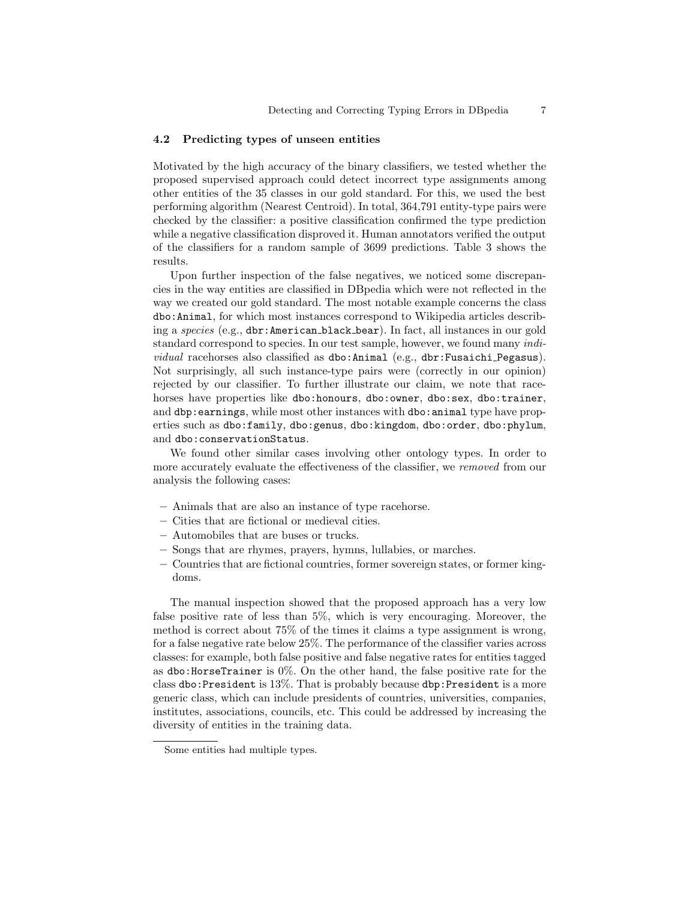## 4.2 Predicting types of unseen entities

Motivated by the high accuracy of the binary classifiers, we tested whether the proposed supervised approach could detect incorrect type assignments among other entities of the 35 classes in our gold standard. For this, we used the best performing algorithm (Nearest Centroid). In total, 364,791 entity-type pairs were checked by the classifier: a positive classification confirmed the type prediction while a negative classification disproved it. Human annotators verified the output of the classifiers for a random sample of 3699 predictions. Table 3 shows the results.

Upon further inspection of the false negatives, we noticed some discrepancies in the way entities are classified in DBpedia which were not reflected in the way we created our gold standard. The most notable example concerns the class dbo:Animal, for which most instances correspond to Wikipedia articles describing a species (e.g., dbr:American black bear). In fact, all instances in our gold standard correspond to species. In our test sample, however, we found many *indi*vidual racehorses also classified as dbo:Animal (e.g., dbr:Fusaichi Pegasus). Not surprisingly, all such instance-type pairs were (correctly in our opinion) rejected by our classifier. To further illustrate our claim, we note that racehorses have properties like dbo:honours, dbo:owner, dbo:sex, dbo:trainer, and dbp: earnings, while most other instances with dbo: animal type have properties such as dbo:family, dbo:genus, dbo:kingdom, dbo:order, dbo:phylum, and dbo:conservationStatus.

We found other similar cases involving other ontology types. In order to more accurately evaluate the effectiveness of the classifier, we removed from our analysis the following cases:

- Animals that are also an instance of type racehorse.
- Cities that are fictional or medieval cities.
- Automobiles that are buses or trucks.
- Songs that are rhymes, prayers, hymns, lullabies, or marches.
- Countries that are fictional countries, former sovereign states, or former kingdoms.

The manual inspection showed that the proposed approach has a very low false positive rate of less than 5%, which is very encouraging. Moreover, the method is correct about 75% of the times it claims a type assignment is wrong, for a false negative rate below 25%. The performance of the classifier varies across classes: for example, both false positive and false negative rates for entities tagged as dbo: HorseTrainer is  $0\%$ . On the other hand, the false positive rate for the class dbo:President is 13%. That is probably because dbp:President is a more generic class, which can include presidents of countries, universities, companies, institutes, associations, councils, etc. This could be addressed by increasing the diversity of entities in the training data.

Some entities had multiple types.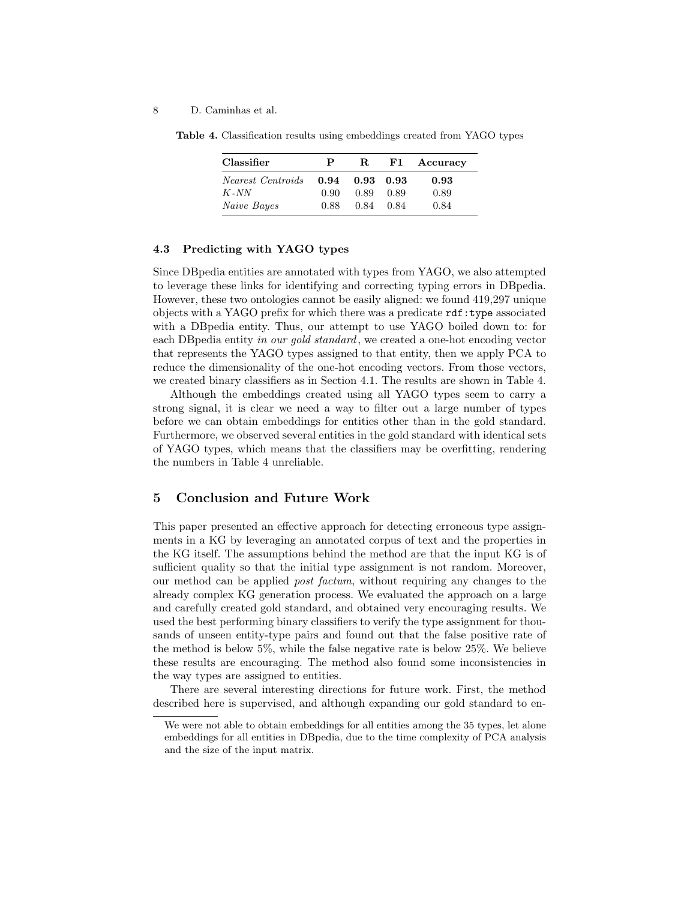| Classifier        | P    | R.   | F1                | Accuracy |
|-------------------|------|------|-------------------|----------|
| Nearest Centroids | 0.94 |      | $0.93 \quad 0.93$ | 0.93     |
| $K$ -NN           | 0.90 | 0.89 | 0.89              | 0.89     |
| Naive Bayes       | 0.88 | 0.84 | 0.84              | 0.84     |

Table 4. Classification results using embeddings created from YAGO types

## 4.3 Predicting with YAGO types

Since DBpedia entities are annotated with types from YAGO, we also attempted to leverage these links for identifying and correcting typing errors in DBpedia. However, these two ontologies cannot be easily aligned: we found 419,297 unique objects with a YAGO prefix for which there was a predicate rdf:type associated with a DBpedia entity. Thus, our attempt to use YAGO boiled down to: for each DB pedia entity in our gold standard, we created a one-hot encoding vector that represents the YAGO types assigned to that entity, then we apply PCA to reduce the dimensionality of the one-hot encoding vectors. From those vectors, we created binary classifiers as in Section 4.1. The results are shown in Table 4.

Although the embeddings created using all YAGO types seem to carry a strong signal, it is clear we need a way to filter out a large number of types before we can obtain embeddings for entities other than in the gold standard. Furthermore, we observed several entities in the gold standard with identical sets of YAGO types, which means that the classifiers may be overfitting, rendering the numbers in Table 4 unreliable.

# 5 Conclusion and Future Work

This paper presented an effective approach for detecting erroneous type assignments in a KG by leveraging an annotated corpus of text and the properties in the KG itself. The assumptions behind the method are that the input KG is of sufficient quality so that the initial type assignment is not random. Moreover, our method can be applied post factum, without requiring any changes to the already complex KG generation process. We evaluated the approach on a large and carefully created gold standard, and obtained very encouraging results. We used the best performing binary classifiers to verify the type assignment for thousands of unseen entity-type pairs and found out that the false positive rate of the method is below 5%, while the false negative rate is below 25%. We believe these results are encouraging. The method also found some inconsistencies in the way types are assigned to entities.

There are several interesting directions for future work. First, the method described here is supervised, and although expanding our gold standard to en-

We were not able to obtain embeddings for all entities among the 35 types, let alone embeddings for all entities in DBpedia, due to the time complexity of PCA analysis and the size of the input matrix.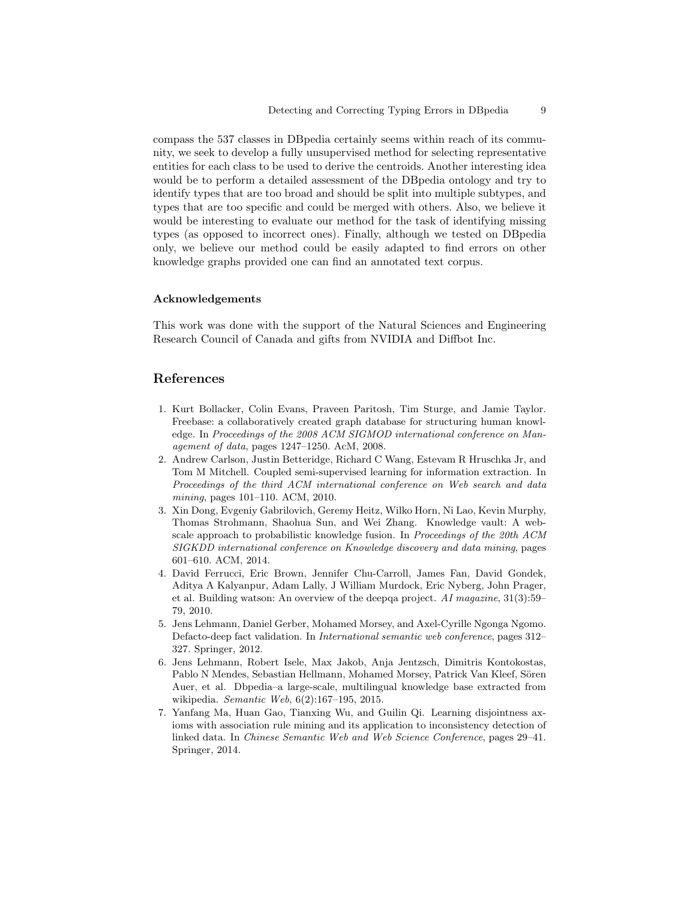compass the 537 classes in DBpedia certainly seems within reach of its community, we seek to develop a fully unsupervised method for selecting representative entities for each class to be used to derive the centroids. Another interesting idea would be to perform a detailed assessment of the DBpedia ontology and try to identify types that are too broad and should be split into multiple subtypes, and types that are too specific and could be merged with others. Also, we believe it would be interesting to evaluate our method for the task of identifying missing types (as opposed to incorrect ones). Finally, although we tested on DBpedia only, we believe our method could be easily adapted to find errors on other knowledge graphs provided one can find an annotated text corpus.

## Acknowledgements

This work was done with the support of the Natural Sciences and Engineering Research Council of Canada and gifts from NVIDIA and Diffbot Inc.

# References

- 1. Kurt Bollacker, Colin Evans, Praveen Paritosh, Tim Sturge, and Jamie Taylor. Freebase: a collaboratively created graph database for structuring human knowledge. In Proceedings of the 2008 ACM SIGMOD international conference on Management of data, pages 1247–1250. AcM, 2008.
- 2. Andrew Carlson, Justin Betteridge, Richard C Wang, Estevam R Hruschka Jr, and Tom M Mitchell. Coupled semi-supervised learning for information extraction. In Proceedings of the third ACM international conference on Web search and data mining, pages 101–110. ACM, 2010.
- 3. Xin Dong, Evgeniy Gabrilovich, Geremy Heitz, Wilko Horn, Ni Lao, Kevin Murphy, Thomas Strohmann, Shaohua Sun, and Wei Zhang. Knowledge vault: A webscale approach to probabilistic knowledge fusion. In Proceedings of the 20th ACM SIGKDD international conference on Knowledge discovery and data mining, pages 601–610. ACM, 2014.
- 4. David Ferrucci, Eric Brown, Jennifer Chu-Carroll, James Fan, David Gondek, Aditya A Kalyanpur, Adam Lally, J William Murdock, Eric Nyberg, John Prager, et al. Building watson: An overview of the deepqa project. AI magazine, 31(3):59– 79, 2010.
- 5. Jens Lehmann, Daniel Gerber, Mohamed Morsey, and Axel-Cyrille Ngonga Ngomo. Defacto-deep fact validation. In International semantic web conference, pages 312– 327. Springer, 2012.
- 6. Jens Lehmann, Robert Isele, Max Jakob, Anja Jentzsch, Dimitris Kontokostas, Pablo N Mendes, Sebastian Hellmann, Mohamed Morsey, Patrick Van Kleef, Sören Auer, et al. Dbpedia–a large-scale, multilingual knowledge base extracted from wikipedia. Semantic Web, 6(2):167–195, 2015.
- 7. Yanfang Ma, Huan Gao, Tianxing Wu, and Guilin Qi. Learning disjointness axioms with association rule mining and its application to inconsistency detection of linked data. In Chinese Semantic Web and Web Science Conference, pages 29–41. Springer, 2014.